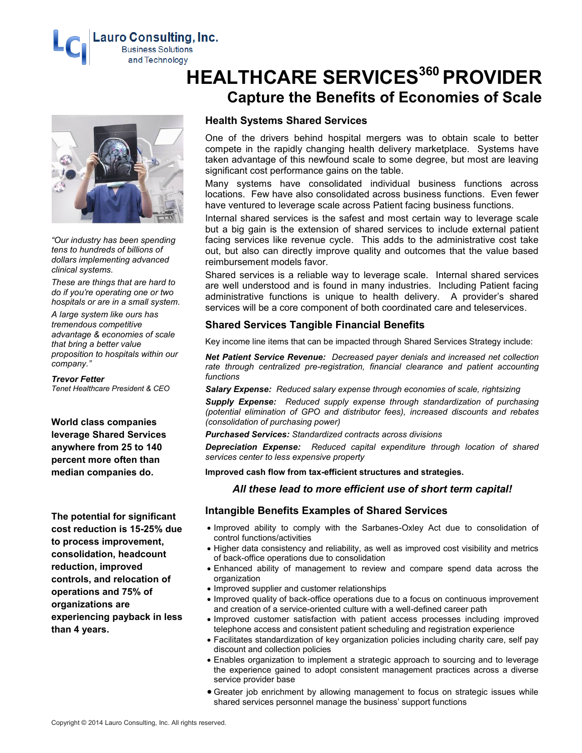**Lauro Consulting, Inc. Business Solutions** and Technology



*"Our industry has been spending tens to hundreds of billions of dollars implementing advanced clinical systems.*

*These are things that are hard to do if you're operating one or two hospitals or are in a small system.*

*A large system like ours has tremendous competitive advantage & economies of scale that bring a better value proposition to hospitals within our company."*

#### *Trevor Fetter*

*Tenet Healthcare President & CEO*

**World class companies leverage Shared Services anywhere from 25 to 140 percent more often than median companies do.**

**The potential for significant cost reduction is 15-25% due to process improvement, consolidation, headcount reduction, improved controls, and relocation of operations and 75% of organizations are experiencing payback in less than 4 years.**

# **HEALTHCARE SERVICES <sup>360</sup> PROVIDER Capture the Benefits of Economies of Scale**

# **Health Systems Shared Services**

One of the drivers behind hospital mergers was to obtain scale to better compete in the rapidly changing health delivery marketplace. Systems have taken advantage of this newfound scale to some degree, but most are leaving significant cost performance gains on the table.

Many systems have consolidated individual business functions across locations. Few have also consolidated across business functions. Even fewer have ventured to leverage scale across Patient facing business functions.

Internal shared services is the safest and most certain way to leverage scale but a big gain is the extension of shared services to include external patient facing services like revenue cycle. This adds to the administrative cost take out, but also can directly improve quality and outcomes that the value based reimbursement models favor.

Shared services is a reliable way to leverage scale. Internal shared services are well understood and is found in many industries. Including Patient facing administrative functions is unique to health delivery. A provider's shared services will be a core component of both coordinated care and teleservices.

## **Shared Services Tangible Financial Benefits**

Key income line items that can be impacted through Shared Services Strategy include:

*Net Patient Service Revenue: Decreased payer denials and increased net collection*  rate through centralized pre-registration, financial clearance and patient accounting *functions*

*Salary Expense: Reduced salary expense through economies of scale, rightsizing*

*Supply Expense: Reduced supply expense through standardization of purchasing (potential elimination of GPO and distributor fees), increased discounts and rebates (consolidation of purchasing power)*

*Purchased Services: Standardized contracts across divisions* 

*Depreciation Expense: Reduced capital expenditure through location of shared services center to less expensive property*

**Improved cash flow from tax-efficient structures and strategies.**

## *All these lead to more efficient use of short term capital!*

## **Intangible Benefits Examples of Shared Services**

- Improved ability to comply with the Sarbanes-Oxley Act due to consolidation of control functions/activities
- Higher data consistency and reliability, as well as improved cost visibility and metrics of back-office operations due to consolidation
- Enhanced ability of management to review and compare spend data across the organization
- Improved supplier and customer relationships
- Improved quality of back-office operations due to a focus on continuous improvement and creation of a service-oriented culture with a well-defined career path
- Improved customer satisfaction with patient access processes including improved telephone access and consistent patient scheduling and registration experience
- Facilitates standardization of key organization policies including charity care, self pay discount and collection policies
- Enables organization to implement a strategic approach to sourcing and to leverage the experience gained to adopt consistent management practices across a diverse service provider base
- Greater job enrichment by allowing management to focus on strategic issues while shared services personnel manage the business' support functions